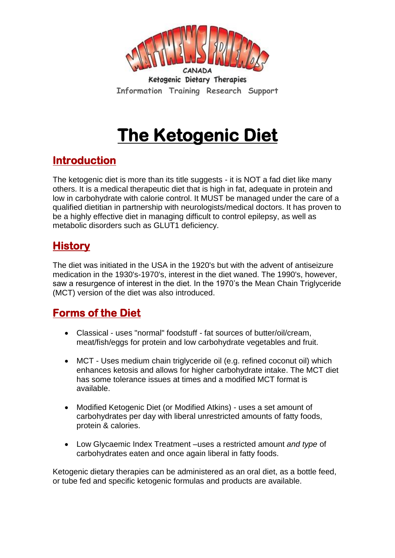

Ketogenic Dietary Therapies **Information Training Research Support**

# **The Ketogenic Diet**

### **Introduction**

The ketogenic diet is more than its title suggests - it is NOT a fad diet like many others. It is a medical therapeutic diet that is high in fat, adequate in protein and low in carbohydrate with calorie control. It MUST be managed under the care of a qualified dietitian in partnership with neurologists/medical doctors. It has proven to be a highly effective diet in managing difficult to control epilepsy, as well as metabolic disorders such as GLUT1 deficiency.

### **History**

The diet was initiated in the USA in the 1920's but with the advent of antiseizure medication in the 1930's-1970's, interest in the diet waned. The 1990's, however, saw a resurgence of interest in the diet. In the 1970's the Mean Chain Triglyceride (MCT) version of the diet was also introduced.

### **Forms of the Diet**

- Classical uses "normal" foodstuff fat sources of butter/oil/cream, meat/fish/eggs for protein and low carbohydrate vegetables and fruit.
- MCT Uses medium chain triglyceride oil (e.g. refined coconut oil) which enhances ketosis and allows for higher carbohydrate intake. The MCT diet has some tolerance issues at times and a modified MCT format is available.
- Modified Ketogenic Diet (or Modified Atkins) uses a set amount of carbohydrates per day with liberal unrestricted amounts of fatty foods, protein & calories.
- Low Glycaemic Index Treatment –uses a restricted amount *and type* of carbohydrates eaten and once again liberal in fatty foods.

Ketogenic dietary therapies can be administered as an oral diet, as a bottle feed, or tube fed and specific ketogenic formulas and products are available.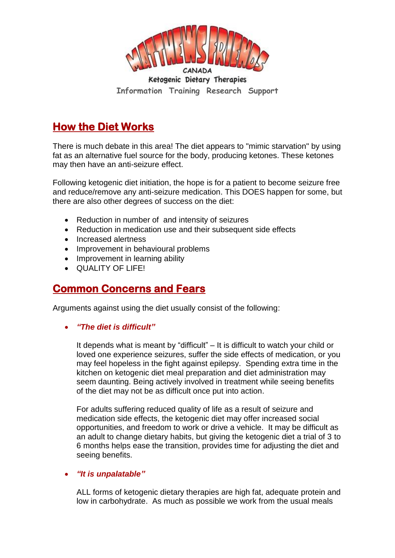

Ketogenic Dietary Therapies **Information Training Research Support**

## **How the Diet Works**

There is much debate in this area! The diet appears to "mimic starvation" by using fat as an alternative fuel source for the body, producing ketones. These ketones may then have an anti-seizure effect.

Following ketogenic diet initiation, the hope is for a patient to become seizure free and reduce/remove any anti-seizure medication. This DOES happen for some, but there are also other degrees of success on the diet:

- Reduction in number of and intensity of seizures
- Reduction in medication use and their subsequent side effects
- Increased alertness
- Improvement in behavioural problems
- Improvement in learning ability
- QUALITY OF LIFE!

### **Common Concerns and Fears**

Arguments against using the diet usually consist of the following:

#### *"The diet is difficult"*

It depends what is meant by "difficult" – It is difficult to watch your child or loved one experience seizures, suffer the side effects of medication, or you may feel hopeless in the fight against epilepsy. Spending extra time in the kitchen on ketogenic diet meal preparation and diet administration may seem daunting. Being actively involved in treatment while seeing benefits of the diet may not be as difficult once put into action.

For adults suffering reduced quality of life as a result of seizure and medication side effects, the ketogenic diet may offer increased social opportunities, and freedom to work or drive a vehicle. It may be difficult as an adult to change dietary habits, but giving the ketogenic diet a trial of 3 to 6 months helps ease the transition, provides time for adjusting the diet and seeing benefits.

#### *"It is unpalatable"*

ALL forms of ketogenic dietary therapies are high fat, adequate protein and low in carbohydrate. As much as possible we work from the usual meals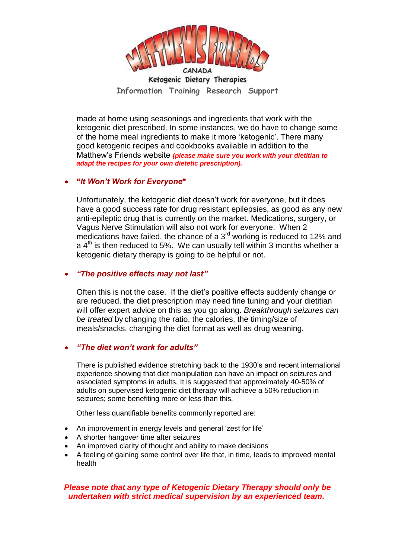

Ketogenic Dietary Therapies **Information Training Research Support**

made at home using seasonings and ingredients that work with the ketogenic diet prescribed. In some instances, we do have to change some of the home meal ingredients to make it more 'ketogenic'. There many good ketogenic recipes and cookbooks available in addition to the Matthew's Friends website *(please make sure you work with your dietitian to adapt the recipes for your own dietetic prescription).*

#### **"***It Won't Work for Everyone***"**

Unfortunately, the ketogenic diet doesn't work for everyone, but it does have a good success rate for drug resistant epilepsies, as good as any new anti-epileptic drug that is currently on the market. Medications, surgery, or Vagus Nerve Stimulation will also not work for everyone. When 2 medications have failed, the chance of a  $3<sup>rd</sup>$  working is reduced to 12% and a  $4<sup>th</sup>$  is then reduced to 5%. We can usually tell within 3 months whether a ketogenic dietary therapy is going to be helpful or not.

#### *"The positive effects may not last"*

Often this is not the case. If the diet's positive effects suddenly change or are reduced, the diet prescription may need fine tuning and your dietitian will offer expert advice on this as you go along. *Breakthrough seizures can be treated* by changing the ratio, the calories, the timing/size of meals/snacks, changing the diet format as well as drug weaning.

#### *"The diet won't work for adults"*

There is published evidence stretching back to the 1930's and recent international experience showing that diet manipulation can have an impact on seizures and associated symptoms in adults. It is suggested that approximately 40-50% of adults on supervised ketogenic diet therapy will achieve a 50% reduction in seizures; some benefiting more or less than this.

Other less quantifiable benefits commonly reported are:

- An improvement in energy levels and general 'zest for life'
- A shorter hangover time after seizures
- An improved clarity of thought and ability to make decisions
- A feeling of gaining some control over life that, in time, leads to improved mental health

#### *Please note that any type of Ketogenic Dietary Therapy should only be undertaken with strict medical supervision by an experienced team.*